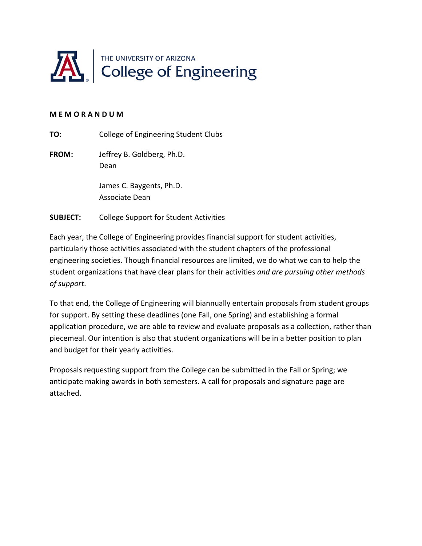

#### **M E M O R A N D U M**

**TO:** College of Engineering Student Clubs

**FROM:**  Jeffrey B. Goldberg, Ph.D. Dean

> James C. Baygents, Ph.D. Associate Dean

**SUBJECT:** College Support for Student Activities

Each year, the College of Engineering provides financial support for student activities, particularly those activities associated with the student chapters of the professional engineering societies. Though financial resources are limited, we do what we can to help the student organizations that have clear plans for their activities *and are pursuing other methods of support*.

To that end, the College of Engineering will biannually entertain proposals from student groups for support. By setting these deadlines (one Fall, one Spring) and establishing a formal application procedure, we are able to review and evaluate proposals as a collection, rather than piecemeal. Our intention is also that student organizations will be in a better position to plan and budget for their yearly activities.

Proposals requesting support from the College can be submitted in the Fall or Spring; we anticipate making awards in both semesters. A call for proposals and signature page are attached.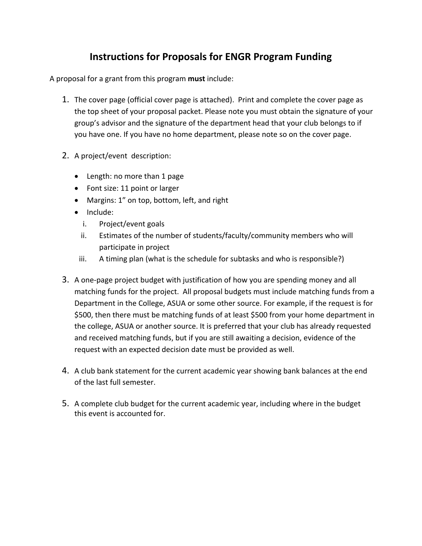# **Instructions for Proposals for ENGR Program Funding**

A proposal for a grant from this program **must** include:

- 1. The cover page (official cover page is attached). Print and complete the cover page as the top sheet of your proposal packet. Please note you must obtain the signature of your group's advisor and the signature of the department head that your club belongs to if you have one. If you have no home department, please note so on the cover page.
- 2. A project/event description:
	- Length: no more than 1 page
	- Font size: 11 point or larger
	- Margins: 1" on top, bottom, left, and right
	- Include:
		- i. Project/event goals
		- ii. Estimates of the number of students/faculty/community members who will participate in project
		- iii. A timing plan (what is the schedule for subtasks and who is responsible?)
- 3. A one‐page project budget with justification of how you are spending money and all matching funds for the project. All proposal budgets must include matching funds from a Department in the College, ASUA or some other source. For example, if the request is for \$500, then there must be matching funds of at least \$500 from your home department in the college, ASUA or another source. It is preferred that your club has already requested and received matching funds, but if you are still awaiting a decision, evidence of the request with an expected decision date must be provided as well.
- 4. A club bank statement for the current academic year showing bank balances at the end of the last full semester.
- 5. A complete club budget for the current academic year, including where in the budget this event is accounted for.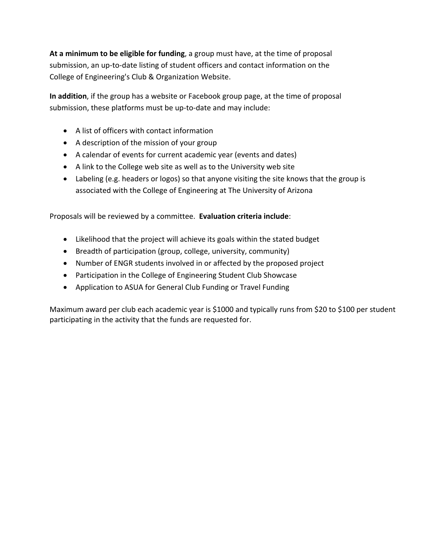**At a minimum to be eligible for funding**, a group must have, at the time of proposal submission, an up‐to‐date listing of student officers and contact information on the College of Engineering's Club & Organization Website.

**In addition**, if the group has a website or Facebook group page, at the time of proposal submission, these platforms must be up-to-date and may include:

- A list of officers with contact information
- A description of the mission of your group
- A calendar of events for current academic year (events and dates)
- A link to the College web site as well as to the University web site
- Labeling (e.g. headers or logos) so that anyone visiting the site knows that the group is associated with the College of Engineering at The University of Arizona

Proposals will be reviewed by a committee. **Evaluation criteria include**:

- Likelihood that the project will achieve its goals within the stated budget
- Breadth of participation (group, college, university, community)
- Number of ENGR students involved in or affected by the proposed project
- Participation in the College of Engineering Student Club Showcase
- Application to ASUA for General Club Funding or Travel Funding

Maximum award per club each academic year is \$1000 and typically runs from \$20 to \$100 per student participating in the activity that the funds are requested for.